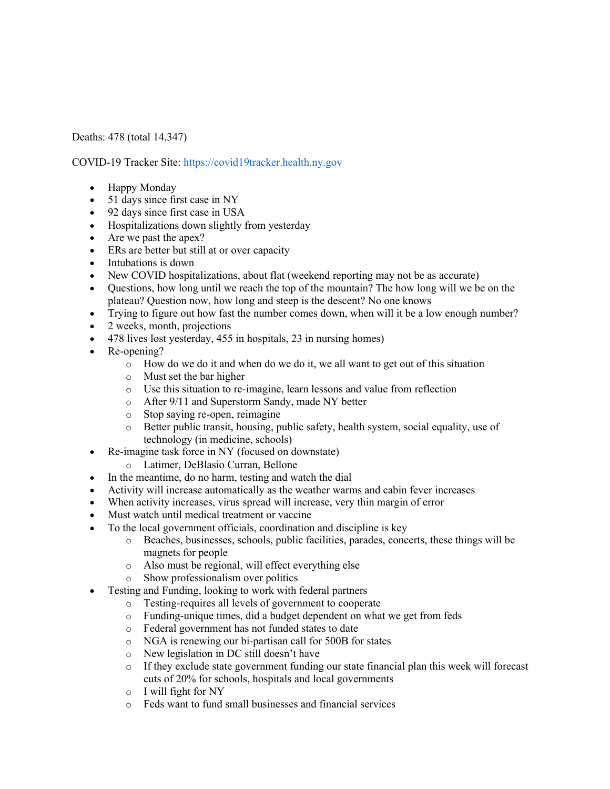Deaths: 478 (total 14,347)

COVID-19 Tracker Site: https://covid19tracker.health.ny.gov

- Happy Monday
- 51 days since first case in NY
- 92 days since first case in USA
- Hospitalizations down slightly from yesterday
- Are we past the apex?
- ERs are better but still at or over capacity
- Intubations is down
- New COVID hospitalizations, about flat (weekend reporting may not be as accurate)
- Questions, how long until we reach the top of the mountain? The how long will we be on the plateau? Question now, how long and steep is the descent? No one knows
- Trying to figure out how fast the number comes down, when will it be a low enough number?
- 2 weeks, month, projections
- 478 lives lost yesterday, 455 in hospitals, 23 in nursing homes)
- Re-opening?
	- o How do we do it and when do we do it, we all want to get out of this situation
	- o Must set the bar higher
	- o Use this situation to re-imagine, learn lessons and value from reflection
	- o After 9/11 and Superstorm Sandy, made NY better
	- o Stop saying re-open, reimagine
	- o Better public transit, housing, public safety, health system, social equality, use of technology (in medicine, schools)
- Re-imagine task force in NY (focused on downstate)
	- o Latimer, DeBlasio Curran, Bellone
- In the meantime, do no harm, testing and watch the dial
- Activity will increase automatically as the weather warms and cabin fever increases
- When activity increases, virus spread will increase, very thin margin of error
- Must watch until medical treatment or vaccine
- To the local government officials, coordination and discipline is key
	- o Beaches, businesses, schools, public facilities, parades, concerts, these things will be magnets for people
	- o Also must be regional, will effect everything else
	- o Show professionalism over politics
- Testing and Funding, looking to work with federal partners
	- o Testing-requires all levels of government to cooperate
	- o Funding-unique times, did a budget dependent on what we get from feds
	- o Federal government has not funded states to date
	- o NGA is renewing our bi-partisan call for 500B for states
	- o New legislation in DC still doesn't have
	- o If they exclude state government funding our state financial plan this week will forecast cuts of 20% for schools, hospitals and local governments
	- o I will fight for NY
	- o Feds want to fund small businesses and financial services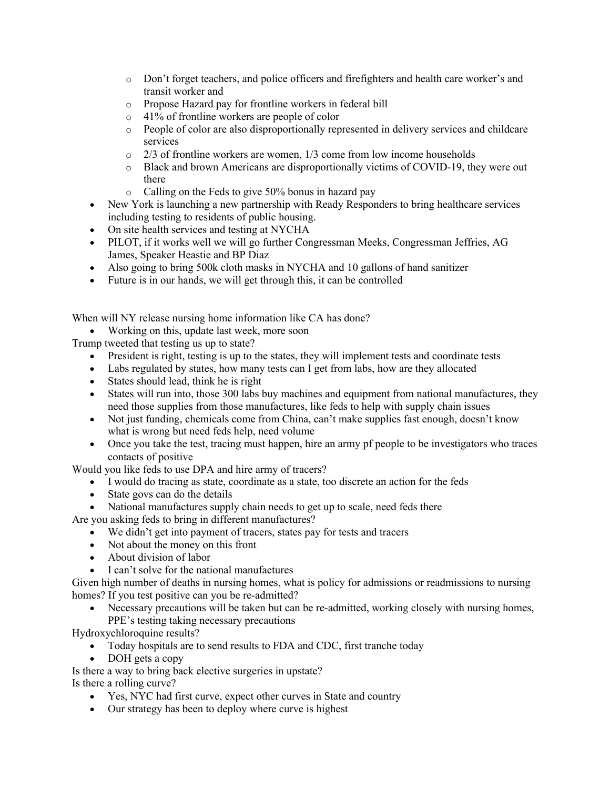- o Don't forget teachers, and police officers and firefighters and health care worker's and transit worker and
- o Propose Hazard pay for frontline workers in federal bill
- o 41% of frontline workers are people of color
- o People of color are also disproportionally represented in delivery services and childcare services
- o 2/3 of frontline workers are women, 1/3 come from low income households
- o Black and brown Americans are disproportionally victims of COVID-19, they were out there
- o Calling on the Feds to give 50% bonus in hazard pay
- New York is launching a new partnership with Ready Responders to bring healthcare services including testing to residents of public housing.
- On site health services and testing at NYCHA
- PILOT, if it works well we will go further Congressman Meeks, Congressman Jeffries, AG James, Speaker Heastie and BP Diaz
- Also going to bring 500k cloth masks in NYCHA and 10 gallons of hand sanitizer
- Future is in our hands, we will get through this, it can be controlled

When will NY release nursing home information like CA has done?

• Working on this, update last week, more soon

Trump tweeted that testing us up to state?

- President is right, testing is up to the states, they will implement tests and coordinate tests
- Labs regulated by states, how many tests can I get from labs, how are they allocated
- States should lead, think he is right
- States will run into, those 300 labs buy machines and equipment from national manufactures, they need those supplies from those manufactures, like feds to help with supply chain issues
- Not just funding, chemicals come from China, can't make supplies fast enough, doesn't know what is wrong but need feds help, need volume
- Once you take the test, tracing must happen, hire an army pf people to be investigators who traces contacts of positive

Would you like feds to use DPA and hire army of tracers?

- I would do tracing as state, coordinate as a state, too discrete an action for the feds
- State govs can do the details
- National manufactures supply chain needs to get up to scale, need feds there

Are you asking feds to bring in different manufactures?

- We didn't get into payment of tracers, states pay for tests and tracers
- Not about the money on this front
- About division of labor
- I can't solve for the national manufactures

Given high number of deaths in nursing homes, what is policy for admissions or readmissions to nursing homes? If you test positive can you be re-admitted?

• Necessary precautions will be taken but can be re-admitted, working closely with nursing homes, PPE's testing taking necessary precautions

Hydroxychloroquine results?

- Today hospitals are to send results to FDA and CDC, first tranche today
- DOH gets a copy

Is there a way to bring back elective surgeries in upstate?

Is there a rolling curve?

- Yes, NYC had first curve, expect other curves in State and country
- Our strategy has been to deploy where curve is highest